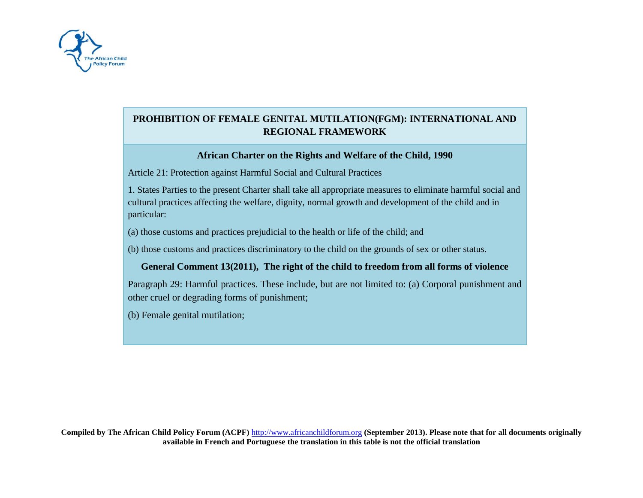

# **PROHIBITION OF FEMALE GENITAL MUTILATION(FGM): INTERNATIONAL AND REGIONAL FRAMEWORK**

### **African Charter on the Rights and Welfare of the Child, 1990**

Article 21: Protection against Harmful Social and Cultural Practices

1. States Parties to the present Charter shall take all appropriate measures to eliminate harmful social and cultural practices affecting the welfare, dignity, normal growth and development of the child and in particular:

(a) those customs and practices prejudicial to the health or life of the child; and

(b) those customs and practices discriminatory to the child on the grounds of sex or other status.

## **General Comment 13(2011), The right of the child to freedom from all forms of violence**

Paragraph 29: Harmful practices. These include, but are not limited to: (a) Corporal punishment and other cruel or degrading forms of punishment;

(b) Female genital mutilation;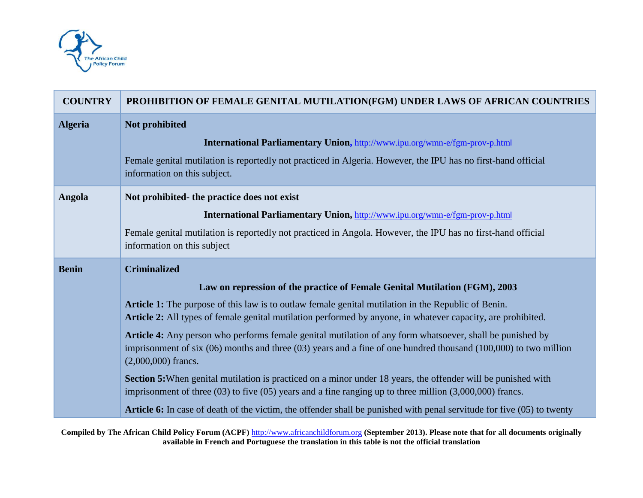

| <b>COUNTRY</b> | PROHIBITION OF FEMALE GENITAL MUTILATION(FGM) UNDER LAWS OF AFRICAN COUNTRIES                                                                                                                                                                                |
|----------------|--------------------------------------------------------------------------------------------------------------------------------------------------------------------------------------------------------------------------------------------------------------|
| <b>Algeria</b> | Not prohibited                                                                                                                                                                                                                                               |
|                | International Parliamentary Union, http://www.ipu.org/wmn-e/fgm-prov-p.html                                                                                                                                                                                  |
|                | Female genital mutilation is reportedly not practiced in Algeria. However, the IPU has no first-hand official<br>information on this subject.                                                                                                                |
| Angola         | Not prohibited- the practice does not exist                                                                                                                                                                                                                  |
|                | International Parliamentary Union, http://www.ipu.org/wmn-e/fgm-prov-p.html                                                                                                                                                                                  |
|                | Female genital mutilation is reportedly not practiced in Angola. However, the IPU has no first-hand official<br>information on this subject                                                                                                                  |
| <b>Benin</b>   | <b>Criminalized</b>                                                                                                                                                                                                                                          |
|                | Law on repression of the practice of Female Genital Mutilation (FGM), 2003                                                                                                                                                                                   |
|                | Article 1: The purpose of this law is to outlaw female genital mutilation in the Republic of Benin.<br>Article 2: All types of female genital mutilation performed by anyone, in whatever capacity, are prohibited.                                          |
|                | Article 4: Any person who performs female genital mutilation of any form whatsoever, shall be punished by<br>imprisonment of six $(06)$ months and three $(03)$ years and a fine of one hundred thousand $(100,000)$ to two million<br>$(2,000,000)$ francs. |
|                | Section 5: When genital mutilation is practiced on a minor under 18 years, the offender will be punished with<br>imprisonment of three $(03)$ to five $(05)$ years and a fine ranging up to three million $(3,000,000)$ francs.                              |
|                |                                                                                                                                                                                                                                                              |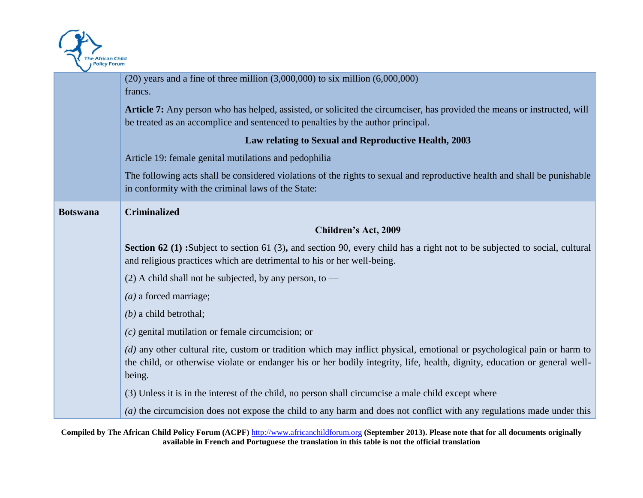

|                 | $(20)$ years and a fine of three million $(3,000,000)$ to six million $(6,000,000)$                                                                                                                                                                             |
|-----------------|-----------------------------------------------------------------------------------------------------------------------------------------------------------------------------------------------------------------------------------------------------------------|
|                 | francs.                                                                                                                                                                                                                                                         |
|                 |                                                                                                                                                                                                                                                                 |
|                 | Article 7: Any person who has helped, assisted, or solicited the circumciser, has provided the means or instructed, will                                                                                                                                        |
|                 | be treated as an accomplice and sentenced to penalties by the author principal.                                                                                                                                                                                 |
|                 | Law relating to Sexual and Reproductive Health, 2003                                                                                                                                                                                                            |
|                 | Article 19: female genital mutilations and pedophilia                                                                                                                                                                                                           |
|                 | The following acts shall be considered violations of the rights to sexual and reproductive health and shall be punishable<br>in conformity with the criminal laws of the State:                                                                                 |
| <b>Botswana</b> | <b>Criminalized</b>                                                                                                                                                                                                                                             |
|                 | Children's Act, 2009                                                                                                                                                                                                                                            |
|                 | Section 62 (1) :Subject to section 61 (3), and section 90, every child has a right not to be subjected to social, cultural<br>and religious practices which are detrimental to his or her well-being.                                                           |
|                 | (2) A child shall not be subjected, by any person, to $-$                                                                                                                                                                                                       |
|                 | $(a)$ a forced marriage;                                                                                                                                                                                                                                        |
|                 | $(b)$ a child betrothal;                                                                                                                                                                                                                                        |
|                 | $(c)$ genital mutilation or female circumcision; or                                                                                                                                                                                                             |
|                 | (d) any other cultural rite, custom or tradition which may inflict physical, emotional or psychological pain or harm to<br>the child, or otherwise violate or endanger his or her bodily integrity, life, health, dignity, education or general well-<br>being. |
|                 | (3) Unless it is in the interest of the child, no person shall circumcise a male child except where                                                                                                                                                             |
|                 | (a) the circumcision does not expose the child to any harm and does not conflict with any regulations made under this                                                                                                                                           |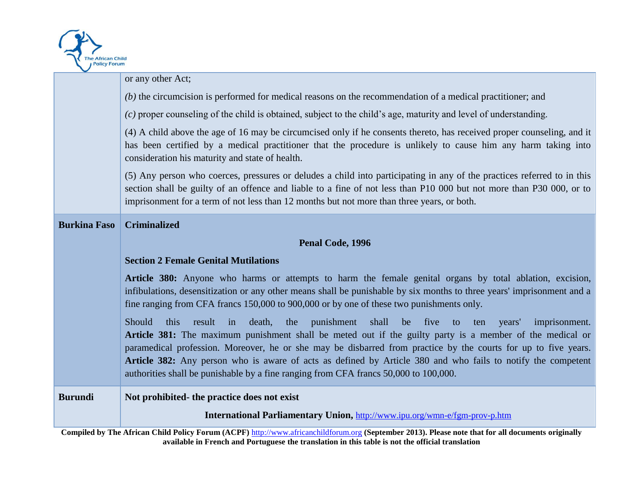

|                     | or any other Act;                                                                                                                                                                                                                                                                                                                                                                                                                                                                                                                                                   |
|---------------------|---------------------------------------------------------------------------------------------------------------------------------------------------------------------------------------------------------------------------------------------------------------------------------------------------------------------------------------------------------------------------------------------------------------------------------------------------------------------------------------------------------------------------------------------------------------------|
|                     | $(b)$ the circumcision is performed for medical reasons on the recommendation of a medical practitioner; and                                                                                                                                                                                                                                                                                                                                                                                                                                                        |
|                     | $(c)$ proper counseling of the child is obtained, subject to the child's age, maturity and level of understanding.                                                                                                                                                                                                                                                                                                                                                                                                                                                  |
|                     | (4) A child above the age of 16 may be circumcised only if he consents thereto, has received proper counseling, and it<br>has been certified by a medical practitioner that the procedure is unlikely to cause him any harm taking into<br>consideration his maturity and state of health.                                                                                                                                                                                                                                                                          |
|                     | (5) Any person who coerces, pressures or deludes a child into participating in any of the practices referred to in this<br>section shall be guilty of an offence and liable to a fine of not less than P10 000 but not more than P30 000, or to<br>imprisonment for a term of not less than 12 months but not more than three years, or both.                                                                                                                                                                                                                       |
| <b>Burkina Faso</b> | <b>Criminalized</b>                                                                                                                                                                                                                                                                                                                                                                                                                                                                                                                                                 |
|                     | Penal Code, 1996                                                                                                                                                                                                                                                                                                                                                                                                                                                                                                                                                    |
|                     | <b>Section 2 Female Genital Mutilations</b>                                                                                                                                                                                                                                                                                                                                                                                                                                                                                                                         |
|                     | Article 380: Anyone who harms or attempts to harm the female genital organs by total ablation, excision,<br>infibulations, desensitization or any other means shall be punishable by six months to three years' imprisonment and a<br>fine ranging from CFA francs 150,000 to 900,000 or by one of these two punishments only.                                                                                                                                                                                                                                      |
|                     | Should<br>result<br>death,<br>the<br>punishment<br>shall<br>be five<br>imprisonment.<br>this<br>years'<br>$\sin$<br>to<br>ten<br>Article 381: The maximum punishment shall be meted out if the guilty party is a member of the medical or<br>paramedical profession. Moreover, he or she may be disbarred from practice by the courts for up to five years.<br>Article 382: Any person who is aware of acts as defined by Article 380 and who fails to notify the competent<br>authorities shall be punishable by a fine ranging from CFA francs 50,000 to 100,000. |
| <b>Burundi</b>      | Not prohibited- the practice does not exist                                                                                                                                                                                                                                                                                                                                                                                                                                                                                                                         |
|                     | <b>International Parliamentary Union, http://www.ipu.org/wmn-e/fgm-prov-p.htm</b>                                                                                                                                                                                                                                                                                                                                                                                                                                                                                   |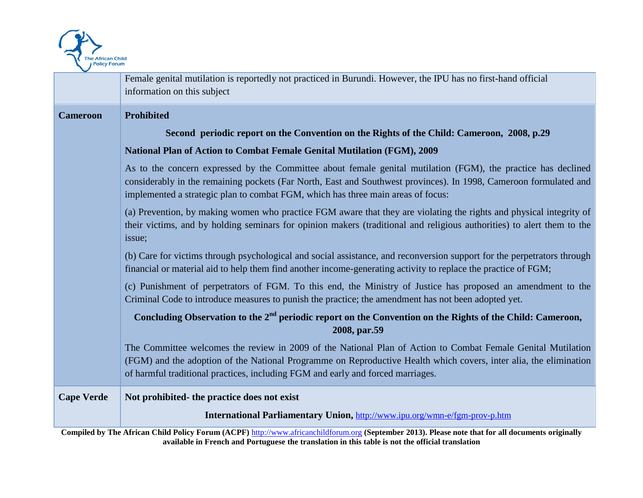

|                   | Female genital mutilation is reportedly not practiced in Burundi. However, the IPU has no first-hand official<br>information on this subject                                                                                                                                                                           |
|-------------------|------------------------------------------------------------------------------------------------------------------------------------------------------------------------------------------------------------------------------------------------------------------------------------------------------------------------|
| <b>Cameroon</b>   | <b>Prohibited</b>                                                                                                                                                                                                                                                                                                      |
|                   | Second periodic report on the Convention on the Rights of the Child: Cameroon, 2008, p.29                                                                                                                                                                                                                              |
|                   | National Plan of Action to Combat Female Genital Mutilation (FGM), 2009                                                                                                                                                                                                                                                |
|                   | As to the concern expressed by the Committee about female genital mutilation (FGM), the practice has declined<br>considerably in the remaining pockets (Far North, East and Southwest provinces). In 1998, Cameroon formulated and<br>implemented a strategic plan to combat FGM, which has three main areas of focus: |
|                   | (a) Prevention, by making women who practice FGM aware that they are violating the rights and physical integrity of<br>their victims, and by holding seminars for opinion makers (traditional and religious authorities) to alert them to the<br>issue;                                                                |
|                   | (b) Care for victims through psychological and social assistance, and reconversion support for the perpetrators through<br>financial or material aid to help them find another income-generating activity to replace the practice of FGM;                                                                              |
|                   | (c) Punishment of perpetrators of FGM. To this end, the Ministry of Justice has proposed an amendment to the<br>Criminal Code to introduce measures to punish the practice; the amendment has not been adopted yet.                                                                                                    |
|                   | Concluding Observation to the 2 <sup>nd</sup> periodic report on the Convention on the Rights of the Child: Cameroon,<br>2008, par.59                                                                                                                                                                                  |
|                   | The Committee welcomes the review in 2009 of the National Plan of Action to Combat Female Genital Mutilation<br>(FGM) and the adoption of the National Programme on Reproductive Health which covers, inter alia, the elimination<br>of harmful traditional practices, including FGM and early and forced marriages.   |
| <b>Cape Verde</b> | Not prohibited- the practice does not exist                                                                                                                                                                                                                                                                            |
|                   | International Parliamentary Union, http://www.ipu.org/wmn-e/fgm-prov-p.htm                                                                                                                                                                                                                                             |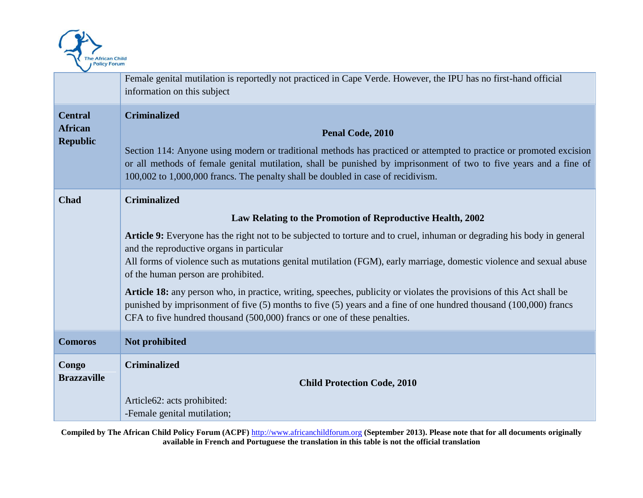

|                                                     | Female genital mutilation is reportedly not practiced in Cape Verde. However, the IPU has no first-hand official<br>information on this subject                                                                                                                                                                                                                                                                                                                                                                                                                                                                                                                                                                                                    |
|-----------------------------------------------------|----------------------------------------------------------------------------------------------------------------------------------------------------------------------------------------------------------------------------------------------------------------------------------------------------------------------------------------------------------------------------------------------------------------------------------------------------------------------------------------------------------------------------------------------------------------------------------------------------------------------------------------------------------------------------------------------------------------------------------------------------|
| <b>Central</b><br><b>African</b><br><b>Republic</b> | <b>Criminalized</b><br>Penal Code, 2010<br>Section 114: Anyone using modern or traditional methods has practiced or attempted to practice or promoted excision<br>or all methods of female genital mutilation, shall be punished by imprisonment of two to five years and a fine of<br>100,002 to 1,000,000 francs. The penalty shall be doubled in case of recidivism.                                                                                                                                                                                                                                                                                                                                                                            |
| Chad                                                | <b>Criminalized</b><br>Law Relating to the Promotion of Reproductive Health, 2002<br>Article 9: Everyone has the right not to be subjected to torture and to cruel, inhuman or degrading his body in general<br>and the reproductive organs in particular<br>All forms of violence such as mutations genital mutilation (FGM), early marriage, domestic violence and sexual abuse<br>of the human person are prohibited.<br>Article 18: any person who, in practice, writing, speeches, publicity or violates the provisions of this Act shall be<br>punished by imprisonment of five (5) months to five (5) years and a fine of one hundred thousand (100,000) francs<br>CFA to five hundred thousand (500,000) francs or one of these penalties. |
| <b>Comoros</b>                                      | Not prohibited                                                                                                                                                                                                                                                                                                                                                                                                                                                                                                                                                                                                                                                                                                                                     |
| Congo<br><b>Brazzaville</b>                         | <b>Criminalized</b><br><b>Child Protection Code, 2010</b><br>Article62: acts prohibited:<br>-Female genital mutilation;                                                                                                                                                                                                                                                                                                                                                                                                                                                                                                                                                                                                                            |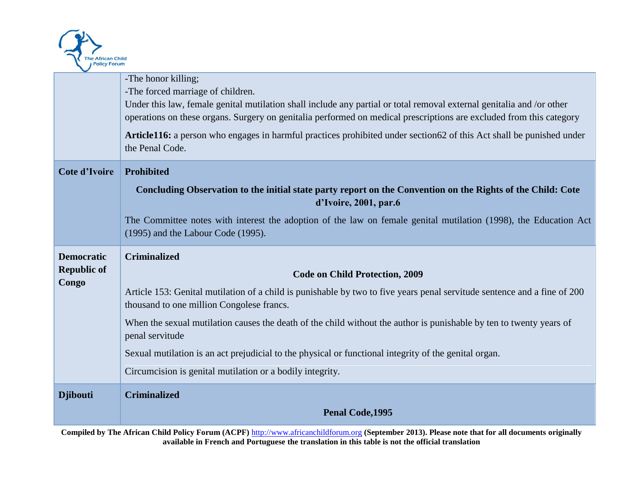

|                      | -The honor killing;                                                                                                                  |
|----------------------|--------------------------------------------------------------------------------------------------------------------------------------|
|                      | -The forced marriage of children.                                                                                                    |
|                      | Under this law, female genital mutilation shall include any partial or total removal external genitalia and /or other                |
|                      | operations on these organs. Surgery on genitalia performed on medical prescriptions are excluded from this category                  |
|                      |                                                                                                                                      |
|                      | Article116: a person who engages in harmful practices prohibited under section 62 of this Act shall be punished under                |
|                      | the Penal Code.                                                                                                                      |
| <b>Cote d'Ivoire</b> | Prohibited                                                                                                                           |
|                      | Concluding Observation to the initial state party report on the Convention on the Rights of the Child: Cote<br>d'Ivoire, 2001, par.6 |
|                      | The Committee notes with interest the adoption of the law on female genital mutilation (1998), the Education Act                     |
|                      | (1995) and the Labour Code (1995).                                                                                                   |
|                      |                                                                                                                                      |
|                      |                                                                                                                                      |
| <b>Democratic</b>    | <b>Criminalized</b>                                                                                                                  |
| <b>Republic of</b>   |                                                                                                                                      |
| Congo                | <b>Code on Child Protection, 2009</b>                                                                                                |
|                      | Article 153: Genital mutilation of a child is punishable by two to five years penal servitude sentence and a fine of 200             |
|                      | thousand to one million Congolese francs.                                                                                            |
|                      | When the sexual mutilation causes the death of the child without the author is punishable by ten to twenty years of                  |
|                      | penal servitude                                                                                                                      |
|                      | Sexual mutilation is an act prejudicial to the physical or functional integrity of the genital organ.                                |
|                      | Circumcision is genital mutilation or a bodily integrity.                                                                            |
| <b>Djibouti</b>      | <b>Criminalized</b>                                                                                                                  |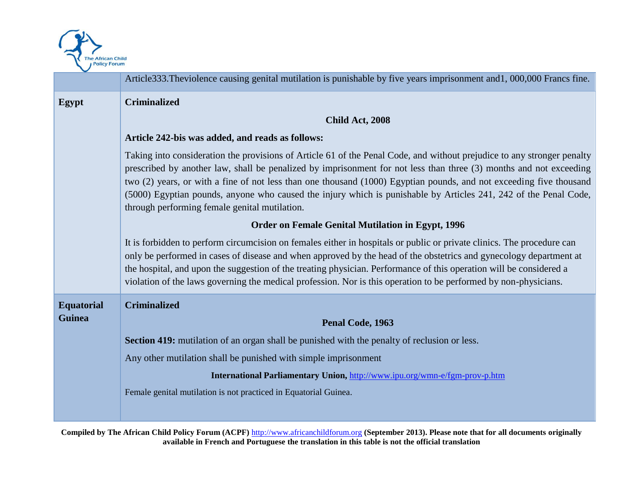

|                   | Article333. Theviolence causing genital mutilation is punishable by five years imprisonment and1, 000,000 Francs fine.                                                                                                                                                                                                                                                                                                                                                                                                                    |
|-------------------|-------------------------------------------------------------------------------------------------------------------------------------------------------------------------------------------------------------------------------------------------------------------------------------------------------------------------------------------------------------------------------------------------------------------------------------------------------------------------------------------------------------------------------------------|
| Egypt             | <b>Criminalized</b>                                                                                                                                                                                                                                                                                                                                                                                                                                                                                                                       |
|                   | Child Act, 2008                                                                                                                                                                                                                                                                                                                                                                                                                                                                                                                           |
|                   | Article 242-bis was added, and reads as follows:                                                                                                                                                                                                                                                                                                                                                                                                                                                                                          |
|                   | Taking into consideration the provisions of Article 61 of the Penal Code, and without prejudice to any stronger penalty<br>prescribed by another law, shall be penalized by imprisonment for not less than three (3) months and not exceeding<br>two (2) years, or with a fine of not less than one thousand (1000) Egyptian pounds, and not exceeding five thousand<br>(5000) Egyptian pounds, anyone who caused the injury which is punishable by Articles 241, 242 of the Penal Code,<br>through performing female genital mutilation. |
|                   | <b>Order on Female Genital Mutilation in Egypt, 1996</b>                                                                                                                                                                                                                                                                                                                                                                                                                                                                                  |
|                   | It is forbidden to perform circumcision on females either in hospitals or public or private clinics. The procedure can<br>only be performed in cases of disease and when approved by the head of the obstetrics and gynecology department at<br>the hospital, and upon the suggestion of the treating physician. Performance of this operation will be considered a<br>violation of the laws governing the medical profession. Nor is this operation to be performed by non-physicians.                                                   |
| <b>Equatorial</b> | <b>Criminalized</b>                                                                                                                                                                                                                                                                                                                                                                                                                                                                                                                       |
| <b>Guinea</b>     | Penal Code, 1963                                                                                                                                                                                                                                                                                                                                                                                                                                                                                                                          |
|                   | Section 419: mutilation of an organ shall be punished with the penalty of reclusion or less.                                                                                                                                                                                                                                                                                                                                                                                                                                              |
|                   | Any other mutilation shall be punished with simple imprisonment                                                                                                                                                                                                                                                                                                                                                                                                                                                                           |
|                   | International Parliamentary Union, http://www.ipu.org/wmn-e/fgm-prov-p.htm                                                                                                                                                                                                                                                                                                                                                                                                                                                                |
|                   | Female genital mutilation is not practiced in Equatorial Guinea.                                                                                                                                                                                                                                                                                                                                                                                                                                                                          |
|                   |                                                                                                                                                                                                                                                                                                                                                                                                                                                                                                                                           |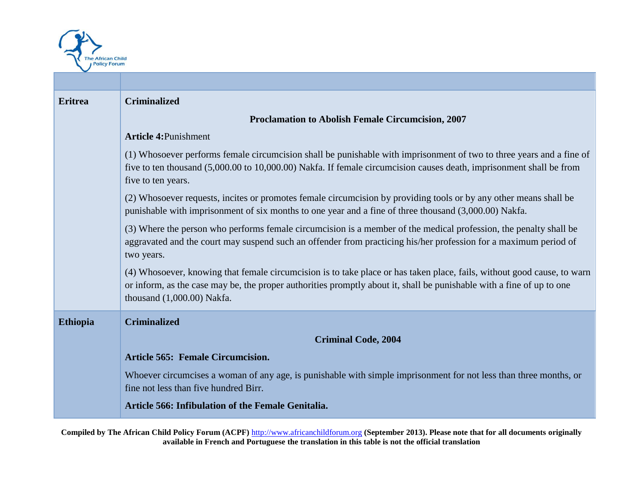

| <b>Eritrea</b>  | <b>Criminalized</b>                                                                                                                                                                                                                                                              |
|-----------------|----------------------------------------------------------------------------------------------------------------------------------------------------------------------------------------------------------------------------------------------------------------------------------|
|                 | Proclamation to Abolish Female Circumcision, 2007                                                                                                                                                                                                                                |
|                 | <b>Article 4: Punishment</b>                                                                                                                                                                                                                                                     |
|                 | (1) Whosoever performs female circumcision shall be punishable with imprisonment of two to three years and a fine of<br>five to ten thousand (5,000.00 to 10,000.00) Nakfa. If female circumcision causes death, imprisonment shall be from<br>five to ten years.                |
|                 | (2) Whosoever requests, incites or promotes female circumcision by providing tools or by any other means shall be<br>punishable with imprisonment of six months to one year and a fine of three thousand (3,000.00) Nakfa.                                                       |
|                 | (3) Where the person who performs female circumcision is a member of the medical profession, the penalty shall be<br>aggravated and the court may suspend such an offender from practicing his/her profession for a maximum period of<br>two years.                              |
|                 | (4) Whosoever, knowing that female circumcision is to take place or has taken place, fails, without good cause, to warn<br>or inform, as the case may be, the proper authorities promptly about it, shall be punishable with a fine of up to one<br>thousand $(1,000.00)$ Nakfa. |
| <b>Ethiopia</b> | <b>Criminalized</b>                                                                                                                                                                                                                                                              |
|                 | <b>Criminal Code, 2004</b>                                                                                                                                                                                                                                                       |
|                 | Article 565: Female Circumcision.                                                                                                                                                                                                                                                |
|                 | Whoever circumcises a woman of any age, is punishable with simple imprisonment for not less than three months, or<br>fine not less than five hundred Birr.                                                                                                                       |
|                 | Article 566: Infibulation of the Female Genitalia.                                                                                                                                                                                                                               |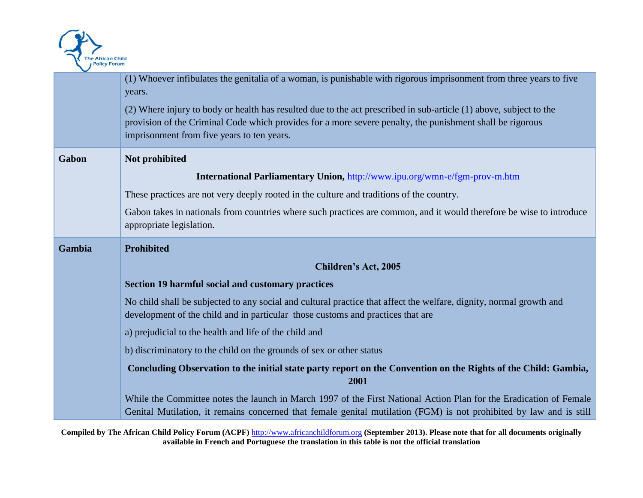

|        | (1) Whoever infibulates the genitalia of a woman, is punishable with rigorous imprisonment from three years to five<br>years.                                                                                                             |
|--------|-------------------------------------------------------------------------------------------------------------------------------------------------------------------------------------------------------------------------------------------|
|        | (2) Where injury to body or health has resulted due to the act prescribed in sub-article (1) above, subject to the<br>provision of the Criminal Code which provides for a more severe penalty, the punishment shall be rigorous           |
|        | imprisonment from five years to ten years.                                                                                                                                                                                                |
| Gabon  | Not prohibited                                                                                                                                                                                                                            |
|        | International Parliamentary Union, http://www.ipu.org/wmn-e/fgm-prov-m.htm                                                                                                                                                                |
|        | These practices are not very deeply rooted in the culture and traditions of the country.                                                                                                                                                  |
|        | Gabon takes in nationals from countries where such practices are common, and it would therefore be wise to introduce<br>appropriate legislation.                                                                                          |
| Gambia | <b>Prohibited</b>                                                                                                                                                                                                                         |
|        | Children's Act, 2005                                                                                                                                                                                                                      |
|        | <b>Section 19 harmful social and customary practices</b>                                                                                                                                                                                  |
|        | No child shall be subjected to any social and cultural practice that affect the welfare, dignity, normal growth and<br>development of the child and in particular those customs and practices that are                                    |
|        | a) prejudicial to the health and life of the child and                                                                                                                                                                                    |
|        | b) discriminatory to the child on the grounds of sex or other status                                                                                                                                                                      |
|        | Concluding Observation to the initial state party report on the Convention on the Rights of the Child: Gambia,<br>2001                                                                                                                    |
|        | While the Committee notes the launch in March 1997 of the First National Action Plan for the Eradication of Female<br>Genital Mutilation, it remains concerned that female genital mutilation (FGM) is not prohibited by law and is still |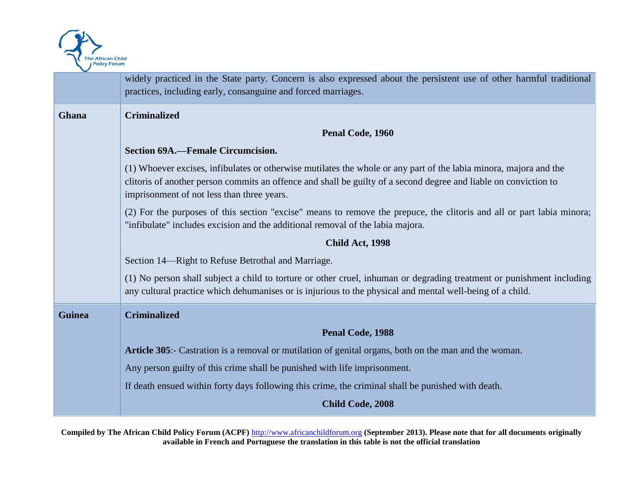

|               | widely practiced in the State party. Concern is also expressed about the persistent use of other harmful traditional<br>practices, including early, consanguine and forced marriages.                                                                                               |
|---------------|-------------------------------------------------------------------------------------------------------------------------------------------------------------------------------------------------------------------------------------------------------------------------------------|
| Ghana         | <b>Criminalized</b>                                                                                                                                                                                                                                                                 |
|               | Penal Code, 1960                                                                                                                                                                                                                                                                    |
|               | Section 69A.—Female Circumcision.                                                                                                                                                                                                                                                   |
|               | (1) Whoever excises, infibulates or otherwise mutilates the whole or any part of the labia minora, majora and the<br>clitoris of another person commits an offence and shall be guilty of a second degree and liable on conviction to<br>imprisonment of not less than three years. |
|               | (2) For the purposes of this section "excise" means to remove the prepuce, the clitoris and all or part labia minora;<br>"infibulate" includes excision and the additional removal of the labia majora.                                                                             |
|               | Child Act, 1998                                                                                                                                                                                                                                                                     |
|               | Section 14-Right to Refuse Betrothal and Marriage.                                                                                                                                                                                                                                  |
|               | (1) No person shall subject a child to torture or other cruel, inhuman or degrading treatment or punishment including<br>any cultural practice which dehumanises or is injurious to the physical and mental well-being of a child.                                                  |
| <b>Guinea</b> | <b>Criminalized</b>                                                                                                                                                                                                                                                                 |
|               | Penal Code, 1988                                                                                                                                                                                                                                                                    |
|               | Article 305:- Castration is a removal or mutilation of genital organs, both on the man and the woman.                                                                                                                                                                               |
|               | Any person guilty of this crime shall be punished with life imprisonment.                                                                                                                                                                                                           |
|               | If death ensued within forty days following this crime, the criminal shall be punished with death.                                                                                                                                                                                  |
|               | Child Code, 2008                                                                                                                                                                                                                                                                    |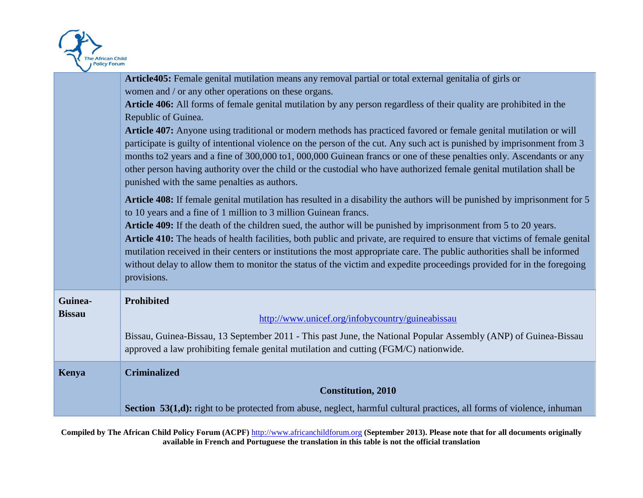

|               | Article405: Female genital mutilation means any removal partial or total external genitalia of girls or                     |
|---------------|-----------------------------------------------------------------------------------------------------------------------------|
|               | women and / or any other operations on these organs.                                                                        |
|               | Article 406: All forms of female genital mutilation by any person regardless of their quality are prohibited in the         |
|               | Republic of Guinea.                                                                                                         |
|               | Article 407: Anyone using traditional or modern methods has practiced favored or female genital mutilation or will          |
|               | participate is guilty of intentional violence on the person of the cut. Any such act is punished by imprisonment from 3     |
|               | months to2 years and a fine of 300,000 to1, 000,000 Guinean francs or one of these penalties only. Ascendants or any        |
|               | other person having authority over the child or the custodial who have authorized female genital mutilation shall be        |
|               | punished with the same penalties as authors.                                                                                |
|               | Article 408: If female genital mutilation has resulted in a disability the authors will be punished by imprisonment for 5   |
|               | to 10 years and a fine of 1 million to 3 million Guinean francs.                                                            |
|               | Article 409: If the death of the children sued, the author will be punished by imprisonment from 5 to 20 years.             |
|               | Article 410: The heads of health facilities, both public and private, are required to ensure that victims of female genital |
|               | mutilation received in their centers or institutions the most appropriate care. The public authorities shall be informed    |
|               | without delay to allow them to monitor the status of the victim and expedite proceedings provided for in the foregoing      |
|               | provisions.                                                                                                                 |
| Guinea-       | <b>Prohibited</b>                                                                                                           |
| <b>Bissau</b> |                                                                                                                             |
|               | http://www.unicef.org/infobycountry/guineabissau                                                                            |
|               | Bissau, Guinea-Bissau, 13 September 2011 - This past June, the National Popular Assembly (ANP) of Guinea-Bissau             |
|               | approved a law prohibiting female genital mutilation and cutting (FGM/C) nationwide.                                        |
| Kenya         | <b>Criminalized</b>                                                                                                         |
|               | <b>Constitution, 2010</b>                                                                                                   |
|               | Section 53(1,d): right to be protected from abuse, neglect, harmful cultural practices, all forms of violence, inhuman      |
|               |                                                                                                                             |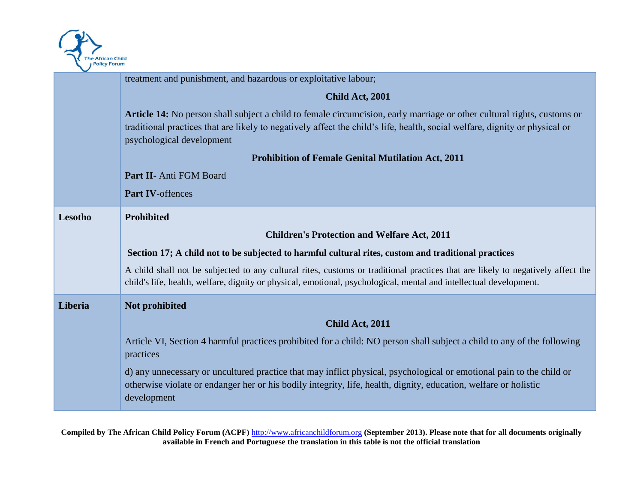

|         | treatment and punishment, and hazardous or exploitative labour;                                                                                                                                                                                                                            |
|---------|--------------------------------------------------------------------------------------------------------------------------------------------------------------------------------------------------------------------------------------------------------------------------------------------|
|         | Child Act, 2001                                                                                                                                                                                                                                                                            |
|         | <b>Article 14:</b> No person shall subject a child to female circumcision, early marriage or other cultural rights, customs or<br>traditional practices that are likely to negatively affect the child's life, health, social welfare, dignity or physical or<br>psychological development |
|         | <b>Prohibition of Female Genital Mutilation Act, 2011</b>                                                                                                                                                                                                                                  |
|         | Part II- Anti FGM Board                                                                                                                                                                                                                                                                    |
|         | Part IV-offences                                                                                                                                                                                                                                                                           |
| Lesotho | <b>Prohibited</b>                                                                                                                                                                                                                                                                          |
|         | <b>Children's Protection and Welfare Act, 2011</b>                                                                                                                                                                                                                                         |
|         | Section 17; A child not to be subjected to harmful cultural rites, custom and traditional practices                                                                                                                                                                                        |
|         | A child shall not be subjected to any cultural rites, customs or traditional practices that are likely to negatively affect the<br>child's life, health, welfare, dignity or physical, emotional, psychological, mental and intellectual development.                                      |
| Liberia | Not prohibited                                                                                                                                                                                                                                                                             |
|         | Child Act, 2011                                                                                                                                                                                                                                                                            |
|         | Article VI, Section 4 harmful practices prohibited for a child: NO person shall subject a child to any of the following<br>practices                                                                                                                                                       |
|         | d) any unnecessary or uncultured practice that may inflict physical, psychological or emotional pain to the child or<br>otherwise violate or endanger her or his bodily integrity, life, health, dignity, education, welfare or holistic<br>development                                    |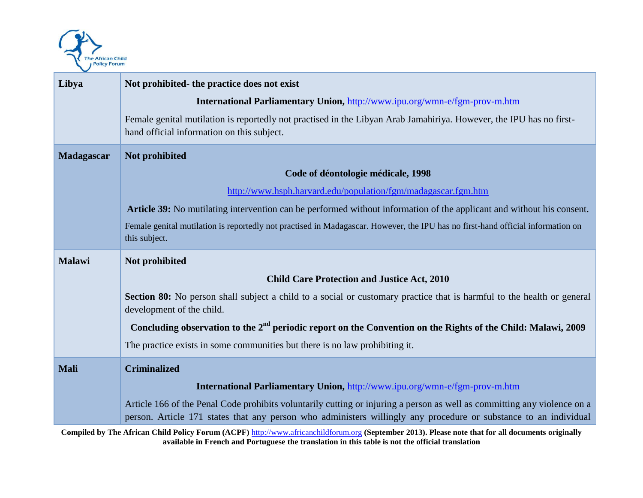

| Libya         | Not prohibited- the practice does not exist                                                                                                                       |
|---------------|-------------------------------------------------------------------------------------------------------------------------------------------------------------------|
|               | <b>International Parliamentary Union, http://www.ipu.org/wmn-e/fgm-prov-m.htm</b>                                                                                 |
|               | Female genital mutilation is reportedly not practised in the Libyan Arab Jamahiriya. However, the IPU has no first-<br>hand official information on this subject. |
| Madagascar    | Not prohibited                                                                                                                                                    |
|               | Code of déontologie médicale, 1998                                                                                                                                |
|               | http://www.hsph.harvard.edu/population/fgm/madagascar.fgm.htm                                                                                                     |
|               | Article 39: No mutilating intervention can be performed without information of the applicant and without his consent.                                             |
|               | Female genital mutilation is reportedly not practised in Madagascar. However, the IPU has no first-hand official information on<br>this subject.                  |
| <b>Malawi</b> | Not prohibited                                                                                                                                                    |
|               |                                                                                                                                                                   |
|               | <b>Child Care Protection and Justice Act, 2010</b>                                                                                                                |
|               | Section 80: No person shall subject a child to a social or customary practice that is harmful to the health or general<br>development of the child.               |
|               | Concluding observation to the $2nd$ periodic report on the Convention on the Rights of the Child: Malawi, 2009                                                    |
|               | The practice exists in some communities but there is no law prohibiting it.                                                                                       |
| <b>Mali</b>   | <b>Criminalized</b>                                                                                                                                               |
|               | International Parliamentary Union, http://www.ipu.org/wmn-e/fgm-prov-m.htm                                                                                        |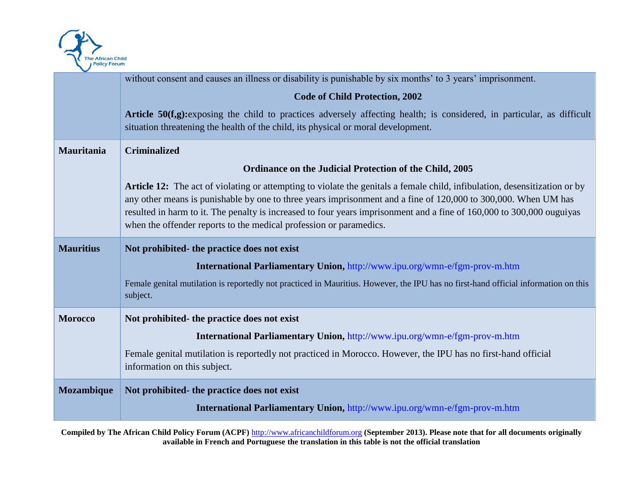

|                  | without consent and causes an illness or disability is punishable by six months' to 3 years' imprisonment.                                                                                                                                                                                                                                                                                                                                  |
|------------------|---------------------------------------------------------------------------------------------------------------------------------------------------------------------------------------------------------------------------------------------------------------------------------------------------------------------------------------------------------------------------------------------------------------------------------------------|
|                  | <b>Code of Child Protection, 2002</b>                                                                                                                                                                                                                                                                                                                                                                                                       |
|                  | Article 50(f,g): exposing the child to practices adversely affecting health; is considered, in particular, as difficult<br>situation threatening the health of the child, its physical or moral development.                                                                                                                                                                                                                                |
| Mauritania       | <b>Criminalized</b>                                                                                                                                                                                                                                                                                                                                                                                                                         |
|                  | Ordinance on the Judicial Protection of the Child, 2005                                                                                                                                                                                                                                                                                                                                                                                     |
|                  | Article 12: The act of violating or attempting to violate the genitals a female child, infibulation, desensitization or by<br>any other means is punishable by one to three years imprisonment and a fine of 120,000 to 300,000. When UM has<br>resulted in harm to it. The penalty is increased to four years imprisonment and a fine of 160,000 to 300,000 ouguiyas<br>when the offender reports to the medical profession or paramedics. |
| <b>Mauritius</b> | Not prohibited- the practice does not exist                                                                                                                                                                                                                                                                                                                                                                                                 |
|                  | International Parliamentary Union, http://www.ipu.org/wmn-e/fgm-prov-m.htm                                                                                                                                                                                                                                                                                                                                                                  |
|                  | Female genital mutilation is reportedly not practiced in Mauritius. However, the IPU has no first-hand official information on this<br>subject.                                                                                                                                                                                                                                                                                             |
| <b>Morocco</b>   | Not prohibited- the practice does not exist                                                                                                                                                                                                                                                                                                                                                                                                 |
|                  | International Parliamentary Union, http://www.ipu.org/wmn-e/fgm-prov-m.htm                                                                                                                                                                                                                                                                                                                                                                  |
|                  | Female genital mutilation is reportedly not practiced in Morocco. However, the IPU has no first-hand official<br>information on this subject.                                                                                                                                                                                                                                                                                               |
| Mozambique       | Not prohibited- the practice does not exist                                                                                                                                                                                                                                                                                                                                                                                                 |
|                  | International Parliamentary Union, http://www.ipu.org/wmn-e/fgm-prov-m.htm                                                                                                                                                                                                                                                                                                                                                                  |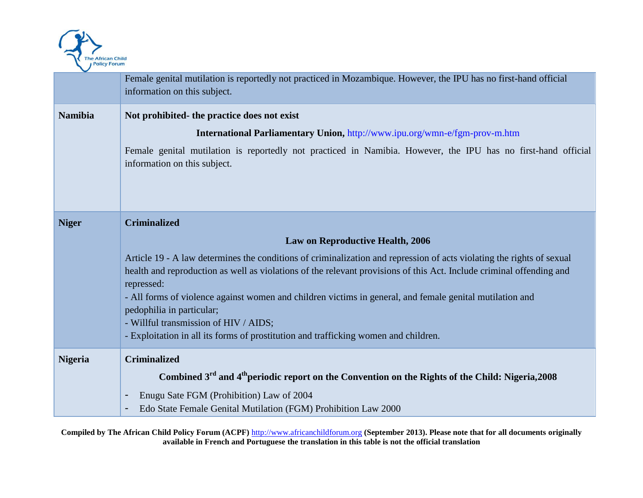

|                | Female genital mutilation is reportedly not practiced in Mozambique. However, the IPU has no first-hand official<br>information on this subject.                                                                                                                                                                                                                                                                                                                                                                                                                                                       |
|----------------|--------------------------------------------------------------------------------------------------------------------------------------------------------------------------------------------------------------------------------------------------------------------------------------------------------------------------------------------------------------------------------------------------------------------------------------------------------------------------------------------------------------------------------------------------------------------------------------------------------|
| <b>Namibia</b> | Not prohibited- the practice does not exist<br>International Parliamentary Union, http://www.ipu.org/wmn-e/fgm-prov-m.htm<br>Female genital mutilation is reportedly not practiced in Namibia. However, the IPU has no first-hand official<br>information on this subject.                                                                                                                                                                                                                                                                                                                             |
| <b>Niger</b>   | <b>Criminalized</b><br><b>Law on Reproductive Health, 2006</b><br>Article 19 - A law determines the conditions of criminalization and repression of acts violating the rights of sexual<br>health and reproduction as well as violations of the relevant provisions of this Act. Include criminal offending and<br>repressed:<br>- All forms of violence against women and children victims in general, and female genital mutilation and<br>pedophilia in particular;<br>- Willful transmission of HIV / AIDS;<br>- Exploitation in all its forms of prostitution and trafficking women and children. |
| <b>Nigeria</b> | <b>Criminalized</b><br>Combined 3 <sup>rd</sup> and 4 <sup>th</sup> periodic report on the Convention on the Rights of the Child: Nigeria, 2008<br>Enugu Sate FGM (Prohibition) Law of 2004<br>Edo State Female Genital Mutilation (FGM) Prohibition Law 2000                                                                                                                                                                                                                                                                                                                                          |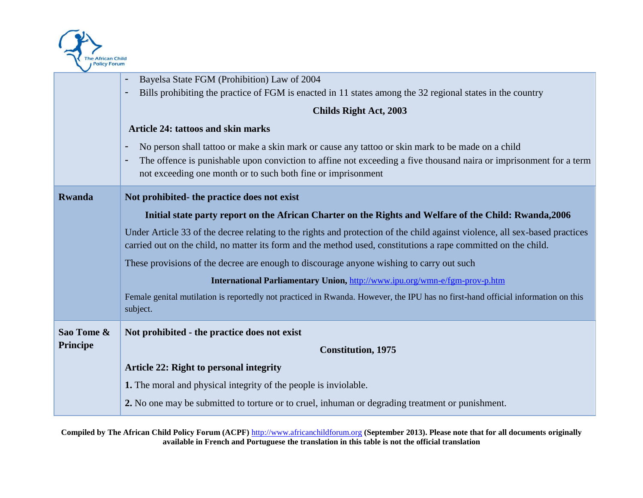

|                 | Bayelsa State FGM (Prohibition) Law of 2004                                                                                                                                                                                                   |
|-----------------|-----------------------------------------------------------------------------------------------------------------------------------------------------------------------------------------------------------------------------------------------|
|                 | Bills prohibiting the practice of FGM is enacted in 11 states among the 32 regional states in the country<br>$\blacksquare$                                                                                                                   |
|                 | <b>Childs Right Act, 2003</b>                                                                                                                                                                                                                 |
|                 | <b>Article 24: tattoos and skin marks</b>                                                                                                                                                                                                     |
|                 | No person shall tattoo or make a skin mark or cause any tattoo or skin mark to be made on a child<br>$\blacksquare$                                                                                                                           |
|                 | The offence is punishable upon conviction to affine not exceeding a five thousand naira or imprisonment for a term                                                                                                                            |
|                 | not exceeding one month or to such both fine or imprisonment                                                                                                                                                                                  |
| <b>Rwanda</b>   | Not prohibited- the practice does not exist                                                                                                                                                                                                   |
|                 | Initial state party report on the African Charter on the Rights and Welfare of the Child: Rwanda, 2006                                                                                                                                        |
|                 | Under Article 33 of the decree relating to the rights and protection of the child against violence, all sex-based practices<br>carried out on the child, no matter its form and the method used, constitutions a rape committed on the child. |
|                 | These provisions of the decree are enough to discourage anyone wishing to carry out such                                                                                                                                                      |
|                 | International Parliamentary Union, http://www.ipu.org/wmn-e/fgm-prov-p.htm                                                                                                                                                                    |
|                 | Female genital mutilation is reportedly not practiced in Rwanda. However, the IPU has no first-hand official information on this<br>subject.                                                                                                  |
| Sao Tome &      | Not prohibited - the practice does not exist                                                                                                                                                                                                  |
| <b>Principe</b> | <b>Constitution</b> , 1975                                                                                                                                                                                                                    |
|                 | <b>Article 22: Right to personal integrity</b>                                                                                                                                                                                                |
|                 | 1. The moral and physical integrity of the people is inviolable.                                                                                                                                                                              |
|                 | 2. No one may be submitted to torture or to cruel, inhuman or degrading treatment or punishment.                                                                                                                                              |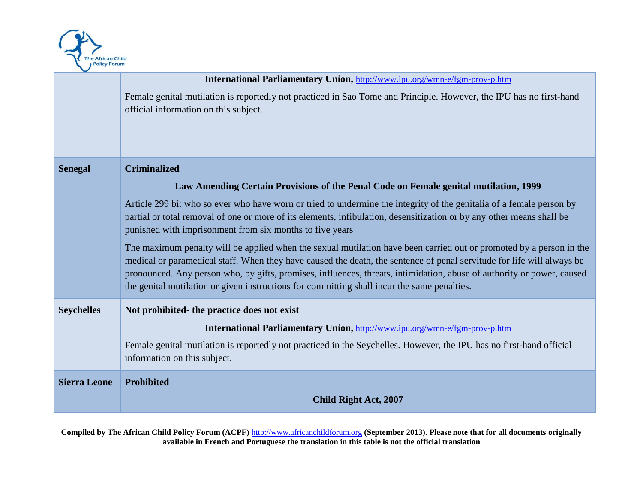

|                     | International Parliamentary Union, http://www.ipu.org/wmn-e/fgm-prov-p.htm                                                                                                                                                                                                                                                                                                                                                                                             |
|---------------------|------------------------------------------------------------------------------------------------------------------------------------------------------------------------------------------------------------------------------------------------------------------------------------------------------------------------------------------------------------------------------------------------------------------------------------------------------------------------|
|                     | Female genital mutilation is reportedly not practiced in Sao Tome and Principle. However, the IPU has no first-hand<br>official information on this subject.                                                                                                                                                                                                                                                                                                           |
| <b>Senegal</b>      | <b>Criminalized</b>                                                                                                                                                                                                                                                                                                                                                                                                                                                    |
|                     | Law Amending Certain Provisions of the Penal Code on Female genital mutilation, 1999                                                                                                                                                                                                                                                                                                                                                                                   |
|                     | Article 299 bi: who so ever who have worn or tried to undermine the integrity of the genitalia of a female person by<br>partial or total removal of one or more of its elements, infibulation, desensitization or by any other means shall be<br>punished with imprisonment from six months to five years                                                                                                                                                              |
|                     | The maximum penalty will be applied when the sexual mutilation have been carried out or promoted by a person in the<br>medical or paramedical staff. When they have caused the death, the sentence of penal servitude for life will always be<br>pronounced. Any person who, by gifts, promises, influences, threats, intimidation, abuse of authority or power, caused<br>the genital mutilation or given instructions for committing shall incur the same penalties. |
| <b>Seychelles</b>   | Not prohibited- the practice does not exist                                                                                                                                                                                                                                                                                                                                                                                                                            |
|                     | International Parliamentary Union, http://www.ipu.org/wmn-e/fgm-prov-p.htm                                                                                                                                                                                                                                                                                                                                                                                             |
|                     | Female genital mutilation is reportedly not practiced in the Seychelles. However, the IPU has no first-hand official<br>information on this subject.                                                                                                                                                                                                                                                                                                                   |
| <b>Sierra Leone</b> | Prohibited                                                                                                                                                                                                                                                                                                                                                                                                                                                             |
|                     | <b>Child Right Act, 2007</b>                                                                                                                                                                                                                                                                                                                                                                                                                                           |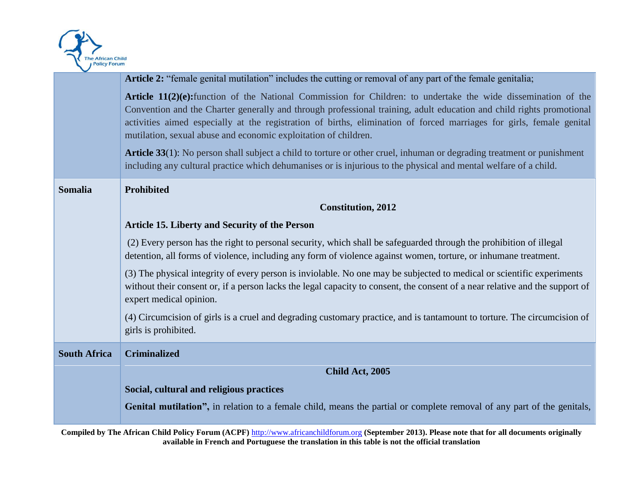

|                     | Article 2: "female genital mutilation" includes the cutting or removal of any part of the female genitalia;                                                                                                                                                                                                                                                                                                                       |
|---------------------|-----------------------------------------------------------------------------------------------------------------------------------------------------------------------------------------------------------------------------------------------------------------------------------------------------------------------------------------------------------------------------------------------------------------------------------|
|                     | Article 11(2)(e): function of the National Commission for Children: to undertake the wide dissemination of the<br>Convention and the Charter generally and through professional training, adult education and child rights promotional<br>activities aimed especially at the registration of births, elimination of forced marriages for girls, female genital<br>mutilation, sexual abuse and economic exploitation of children. |
|                     | <b>Article 33</b> (1): No person shall subject a child to torture or other cruel, inhuman or degrading treatment or punishment<br>including any cultural practice which dehumanises or is injurious to the physical and mental welfare of a child.                                                                                                                                                                                |
| <b>Somalia</b>      | Prohibited                                                                                                                                                                                                                                                                                                                                                                                                                        |
|                     | <b>Constitution, 2012</b>                                                                                                                                                                                                                                                                                                                                                                                                         |
|                     | <b>Article 15. Liberty and Security of the Person</b>                                                                                                                                                                                                                                                                                                                                                                             |
|                     | (2) Every person has the right to personal security, which shall be safeguarded through the prohibition of illegal<br>detention, all forms of violence, including any form of violence against women, torture, or inhumane treatment.                                                                                                                                                                                             |
|                     | (3) The physical integrity of every person is inviolable. No one may be subjected to medical or scientific experiments<br>without their consent or, if a person lacks the legal capacity to consent, the consent of a near relative and the support of<br>expert medical opinion.                                                                                                                                                 |
|                     | (4) Circumcision of girls is a cruel and degrading customary practice, and is tantamount to torture. The circumcision of<br>girls is prohibited.                                                                                                                                                                                                                                                                                  |
| <b>South Africa</b> | <b>Criminalized</b>                                                                                                                                                                                                                                                                                                                                                                                                               |
|                     | Child Act, 2005                                                                                                                                                                                                                                                                                                                                                                                                                   |
|                     | Social, cultural and religious practices                                                                                                                                                                                                                                                                                                                                                                                          |
|                     | Genital mutilation", in relation to a female child, means the partial or complete removal of any part of the genitals,                                                                                                                                                                                                                                                                                                            |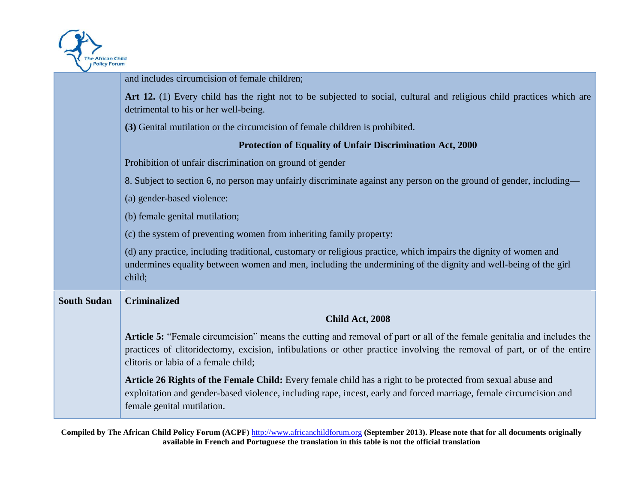

|                    | and includes circumcision of female children;                                                                                                                                                                                                                                            |
|--------------------|------------------------------------------------------------------------------------------------------------------------------------------------------------------------------------------------------------------------------------------------------------------------------------------|
|                    | Art 12. (1) Every child has the right not to be subjected to social, cultural and religious child practices which are<br>detrimental to his or her well-being.                                                                                                                           |
|                    | (3) Genital mutilation or the circumcision of female children is prohibited.                                                                                                                                                                                                             |
|                    | Protection of Equality of Unfair Discrimination Act, 2000                                                                                                                                                                                                                                |
|                    | Prohibition of unfair discrimination on ground of gender                                                                                                                                                                                                                                 |
|                    | 8. Subject to section 6, no person may unfairly discriminate against any person on the ground of gender, including—                                                                                                                                                                      |
|                    | (a) gender-based violence:                                                                                                                                                                                                                                                               |
|                    | (b) female genital mutilation;                                                                                                                                                                                                                                                           |
|                    | (c) the system of preventing women from inheriting family property:                                                                                                                                                                                                                      |
|                    | (d) any practice, including traditional, customary or religious practice, which impairs the dignity of women and<br>undermines equality between women and men, including the undermining of the dignity and well-being of the girl<br>child;                                             |
| <b>South Sudan</b> | <b>Criminalized</b>                                                                                                                                                                                                                                                                      |
|                    | Child Act, 2008                                                                                                                                                                                                                                                                          |
|                    | Article 5: "Female circumcision" means the cutting and removal of part or all of the female genitalia and includes the<br>practices of clitoridectomy, excision, infibulations or other practice involving the removal of part, or of the entire<br>clitoris or labia of a female child; |
|                    | Article 26 Rights of the Female Child: Every female child has a right to be protected from sexual abuse and<br>exploitation and gender-based violence, including rape, incest, early and forced marriage, female circumcision and<br>female genital mutilation.                          |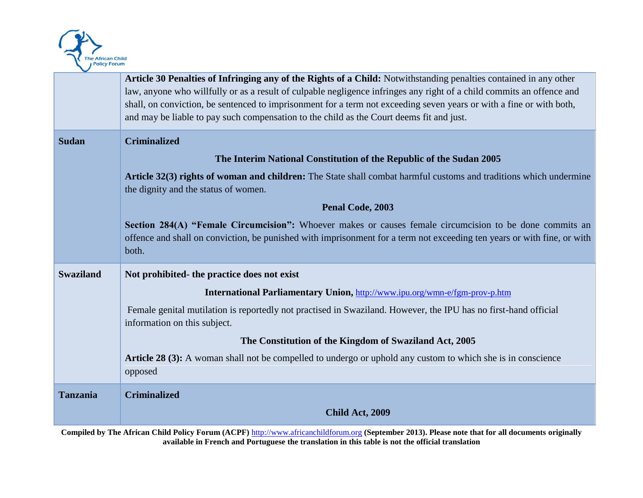

|                  | Article 30 Penalties of Infringing any of the Rights of a Child: Notwithstanding penalties contained in any other<br>law, anyone who willfully or as a result of culpable negligence infringes any right of a child commits an offence and<br>shall, on conviction, be sentenced to imprisonment for a term not exceeding seven years or with a fine or with both, |
|------------------|--------------------------------------------------------------------------------------------------------------------------------------------------------------------------------------------------------------------------------------------------------------------------------------------------------------------------------------------------------------------|
|                  | and may be liable to pay such compensation to the child as the Court deems fit and just.                                                                                                                                                                                                                                                                           |
| <b>Sudan</b>     | <b>Criminalized</b>                                                                                                                                                                                                                                                                                                                                                |
|                  | The Interim National Constitution of the Republic of the Sudan 2005                                                                                                                                                                                                                                                                                                |
|                  | Article 32(3) rights of woman and children: The State shall combat harmful customs and traditions which undermine<br>the dignity and the status of women.                                                                                                                                                                                                          |
|                  | Penal Code, 2003                                                                                                                                                                                                                                                                                                                                                   |
|                  | Section 284(A) "Female Circumcision": Whoever makes or causes female circumcision to be done commits an<br>offence and shall on conviction, be punished with imprisonment for a term not exceeding ten years or with fine, or with<br>both.                                                                                                                        |
| <b>Swaziland</b> | Not prohibited- the practice does not exist                                                                                                                                                                                                                                                                                                                        |
|                  | International Parliamentary Union, http://www.ipu.org/wmn-e/fgm-prov-p.htm                                                                                                                                                                                                                                                                                         |
|                  | Female genital mutilation is reportedly not practised in Swaziland. However, the IPU has no first-hand official<br>information on this subject.                                                                                                                                                                                                                    |
|                  | The Constitution of the Kingdom of Swaziland Act, 2005                                                                                                                                                                                                                                                                                                             |
|                  | Article 28 (3): A woman shall not be compelled to undergo or uphold any custom to which she is in conscience<br>opposed                                                                                                                                                                                                                                            |
| <b>Tanzania</b>  | <b>Criminalized</b>                                                                                                                                                                                                                                                                                                                                                |
|                  | Child Act, 2009                                                                                                                                                                                                                                                                                                                                                    |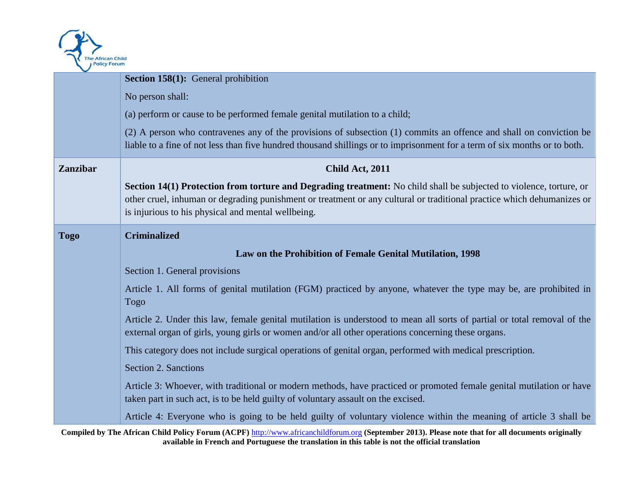

| $\checkmark$    |                                                                                                                                                                                                                                                                                                     |
|-----------------|-----------------------------------------------------------------------------------------------------------------------------------------------------------------------------------------------------------------------------------------------------------------------------------------------------|
|                 | Section 158(1): General prohibition                                                                                                                                                                                                                                                                 |
|                 | No person shall:                                                                                                                                                                                                                                                                                    |
|                 | (a) perform or cause to be performed female genital mutilation to a child;                                                                                                                                                                                                                          |
|                 | (2) A person who contravenes any of the provisions of subsection (1) commits an offence and shall on conviction be<br>liable to a fine of not less than five hundred thousand shillings or to imprisonment for a term of six months or to both.                                                     |
| <b>Zanzibar</b> | Child Act, 2011                                                                                                                                                                                                                                                                                     |
|                 | Section 14(1) Protection from torture and Degrading treatment: No child shall be subjected to violence, torture, or<br>other cruel, inhuman or degrading punishment or treatment or any cultural or traditional practice which dehumanizes or<br>is injurious to his physical and mental wellbeing. |
| Togo            | <b>Criminalized</b>                                                                                                                                                                                                                                                                                 |
|                 | Law on the Prohibition of Female Genital Mutilation, 1998                                                                                                                                                                                                                                           |
|                 | Section 1. General provisions                                                                                                                                                                                                                                                                       |
|                 | Article 1. All forms of genital mutilation (FGM) practiced by anyone, whatever the type may be, are prohibited in<br><b>Togo</b>                                                                                                                                                                    |
|                 | Article 2. Under this law, female genital mutilation is understood to mean all sorts of partial or total removal of the<br>external organ of girls, young girls or women and/or all other operations concerning these organs.                                                                       |
|                 | This category does not include surgical operations of genital organ, performed with medical prescription.                                                                                                                                                                                           |
|                 | Section 2. Sanctions                                                                                                                                                                                                                                                                                |
|                 | Article 3: Whoever, with traditional or modern methods, have practiced or promoted female genital mutilation or have<br>taken part in such act, is to be held guilty of voluntary assault on the excised.                                                                                           |
|                 | Article 4: Everyone who is going to be held guilty of voluntary violence within the meaning of article 3 shall be                                                                                                                                                                                   |

**Compiled by The African Child Policy Forum (ACPF)** http://www.africanchildforum.org **(September 2013). Please note that for all documents originally available in French and Portuguese the translation in this table is not the official translation**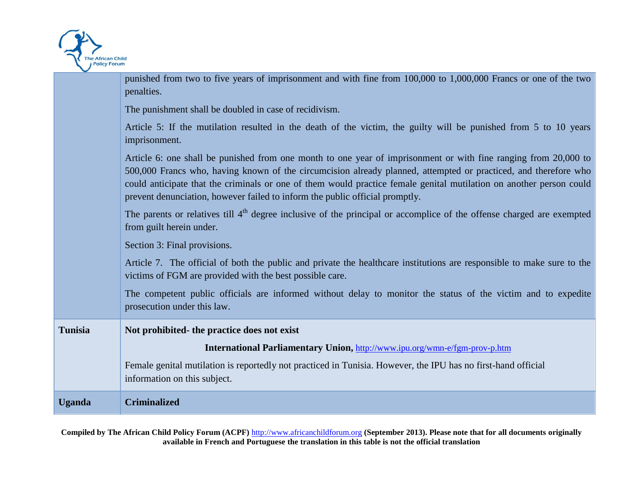

| <b>Uganda</b>  | <b>Criminalized</b>                                                                                                                                                                                                                                                                                                                                                                                                                       |
|----------------|-------------------------------------------------------------------------------------------------------------------------------------------------------------------------------------------------------------------------------------------------------------------------------------------------------------------------------------------------------------------------------------------------------------------------------------------|
| <b>Tunisia</b> | Not prohibited- the practice does not exist<br>International Parliamentary Union, http://www.ipu.org/wmn-e/fgm-prov-p.htm<br>Female genital mutilation is reportedly not practiced in Tunisia. However, the IPU has no first-hand official<br>information on this subject.                                                                                                                                                                |
|                | The competent public officials are informed without delay to monitor the status of the victim and to expedite<br>prosecution under this law.                                                                                                                                                                                                                                                                                              |
|                | Section 3: Final provisions.<br>Article 7. The official of both the public and private the healthcare institutions are responsible to make sure to the<br>victims of FGM are provided with the best possible care.                                                                                                                                                                                                                        |
|                | The parents or relatives till 4 <sup>th</sup> degree inclusive of the principal or accomplice of the offense charged are exempted<br>from guilt herein under.                                                                                                                                                                                                                                                                             |
|                | Article 6: one shall be punished from one month to one year of imprisonment or with fine ranging from 20,000 to<br>500,000 Francs who, having known of the circumcision already planned, attempted or practiced, and therefore who<br>could anticipate that the criminals or one of them would practice female genital mutilation on another person could<br>prevent denunciation, however failed to inform the public official promptly. |
|                | Article 5: If the mutilation resulted in the death of the victim, the guilty will be punished from 5 to 10 years<br>imprisonment.                                                                                                                                                                                                                                                                                                         |
|                | The punishment shall be doubled in case of recidivism.                                                                                                                                                                                                                                                                                                                                                                                    |
|                | punished from two to five years of imprisonment and with fine from 100,000 to 1,000,000 Francs or one of the two<br>penalties.                                                                                                                                                                                                                                                                                                            |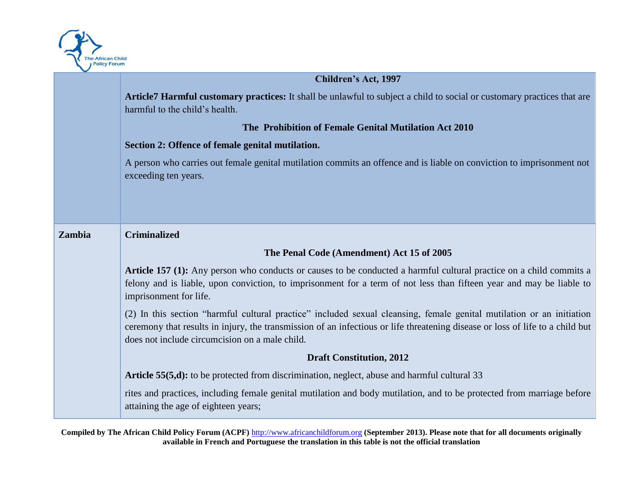

# **Children's Act, 1997**

**Article7 Harmful customary practices:** It shall be unlawful to subject a child to social or customary practices that are harmful to the child's health.

#### **The Prohibition of Female Genital Mutilation Act 2010**

### **Section 2: Offence of female genital mutilation.**

A person who carries out female genital mutilation commits an offence and is liable on conviction to imprisonment not exceeding ten years.

| <b>Zambia</b> | <b>Criminalized</b>                                                                                                                                                                                                                                                                                      |
|---------------|----------------------------------------------------------------------------------------------------------------------------------------------------------------------------------------------------------------------------------------------------------------------------------------------------------|
|               | The Penal Code (Amendment) Act 15 of 2005                                                                                                                                                                                                                                                                |
|               | <b>Article 157 (1):</b> Any person who conducts or causes to be conducted a harmful cultural practice on a child commits a<br>felony and is liable, upon conviction, to imprisonment for a term of not less than fifteen year and may be liable to<br>imprisonment for life.                             |
|               | (2) In this section "harmful cultural practice" included sexual cleansing, female genital mutilation or an initiation<br>ceremony that results in injury, the transmission of an infectious or life threatening disease or loss of life to a child but<br>does not include circumcision on a male child. |
|               | <b>Draft Constitution, 2012</b>                                                                                                                                                                                                                                                                          |
|               | <b>Article 55(5,d):</b> to be protected from discrimination, neglect, abuse and harmful cultural 33                                                                                                                                                                                                      |
|               | rites and practices, including female genital mutilation and body mutilation, and to be protected from marriage before<br>attaining the age of eighteen years;                                                                                                                                           |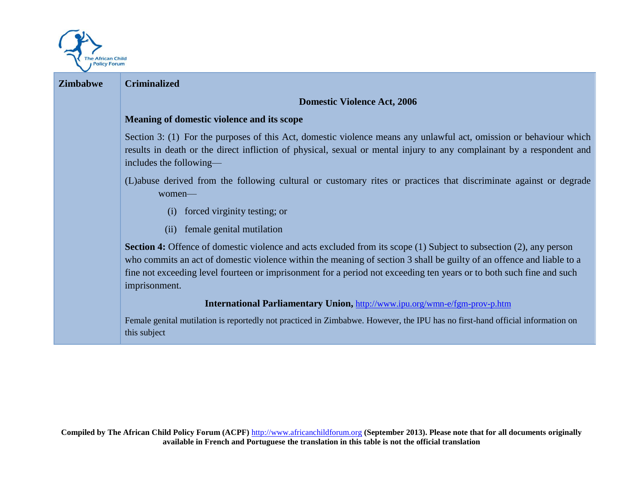

| <b>Zimbabwe</b> | <b>Criminalized</b>                                                                                                                                                                                                                                                                                                                                                                         |
|-----------------|---------------------------------------------------------------------------------------------------------------------------------------------------------------------------------------------------------------------------------------------------------------------------------------------------------------------------------------------------------------------------------------------|
|                 | <b>Domestic Violence Act, 2006</b>                                                                                                                                                                                                                                                                                                                                                          |
|                 | Meaning of domestic violence and its scope                                                                                                                                                                                                                                                                                                                                                  |
|                 | Section 3: (1) For the purposes of this Act, domestic violence means any unlawful act, omission or behaviour which<br>results in death or the direct infliction of physical, sexual or mental injury to any complainant by a respondent and<br>includes the following—                                                                                                                      |
|                 | (L) abuse derived from the following cultural or customary rites or practices that discriminate against or degrade<br>women-                                                                                                                                                                                                                                                                |
|                 | forced virginity testing; or<br>(i)                                                                                                                                                                                                                                                                                                                                                         |
|                 | female genital mutilation<br>(ii)                                                                                                                                                                                                                                                                                                                                                           |
|                 | <b>Section 4:</b> Offence of domestic violence and acts excluded from its scope (1) Subject to subsection (2), any person<br>who commits an act of domestic violence within the meaning of section 3 shall be guilty of an offence and liable to a<br>fine not exceeding level fourteen or imprisonment for a period not exceeding ten years or to both such fine and such<br>imprisonment. |
|                 | International Parliamentary Union, http://www.ipu.org/wmn-e/fgm-prov-p.htm                                                                                                                                                                                                                                                                                                                  |
|                 | Female genital mutilation is reportedly not practiced in Zimbabwe. However, the IPU has no first-hand official information on<br>this subject                                                                                                                                                                                                                                               |
|                 |                                                                                                                                                                                                                                                                                                                                                                                             |